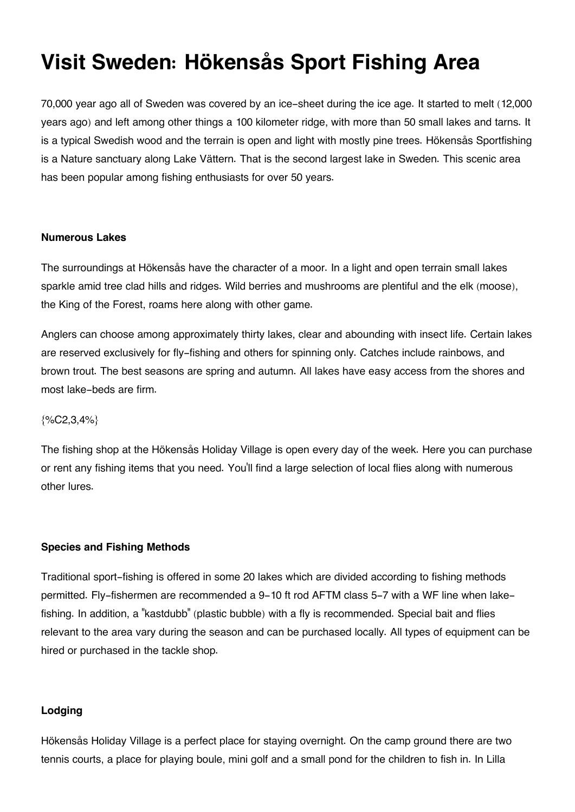# **Visit Sweden: Hökensås Sport Fishing Area**

70,000 year ago all of Sweden was covered by an ice-sheet during the ice age. It started to melt (12,000 years ago) and left among other things a 100 kilometer ridge, with more than 50 small lakes and tarns. It is a typical Swedish wood and the terrain is open and light with mostly pine trees. Hökensås Sportfishing is a Nature sanctuary along Lake Vättern. That is the second largest lake in Sweden. This scenic area has been popular among fishing enthusiasts for over 50 years.

### **Numerous Lakes**

The surroundings at Hökensås have the character of a moor. In a light and open terrain small lakes sparkle amid tree clad hills and ridges. Wild berries and mushrooms are plentiful and the elk (moose), the King of the Forest, roams here along with other game.

Anglers can choose among approximately thirty lakes, clear and abounding with insect life. Certain lakes are reserved exclusively for fly-fishing and others for spinning only. Catches include rainbows, and brown trout. The best seasons are spring and autumn. All lakes have easy access from the shores and most lake-beds are firm.

## $\{$ %C2,3,4% \}

The fishing shop at the Hökensås Holiday Village is open every day of the week. Here you can purchase or rent any fishing items that you need. You'll find a large selection of local flies along with numerous other lures.

## **Species and Fishing Methods**

Traditional sport-fishing is offered in some 20 lakes which are divided according to fishing methods permitted. Fly-fishermen are recommended a 9-10 ft rod AFTM class 5-7 with a WF line when lakefishing. In addition, a "kastdubb" (plastic bubble) with a fly is recommended. Special bait and flies relevant to the area vary during the season and can be purchased locally. All types of equipment can be hired or purchased in the tackle shop.

## **Lodging**

Hökensås Holiday Village is a perfect place for staying overnight. On the camp ground there are two tennis courts, a place for playing boule, mini golf and a small pond for the children to fish in. In Lilla